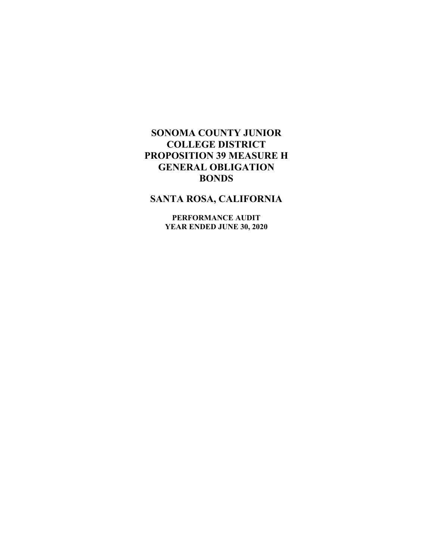# **SANTA ROSA, CALIFORNIA**

**PERFORMANCE AUDIT YEAR ENDED JUNE 30, 2020**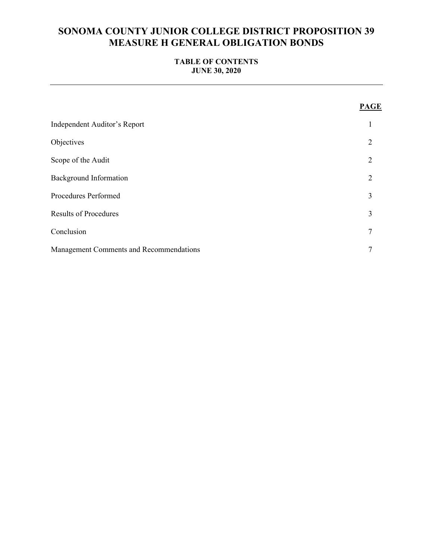## **TABLE OF CONTENTS JUNE 30, 2020**

|                                         | <b>PAGE</b>    |
|-----------------------------------------|----------------|
| Independent Auditor's Report            | 1              |
| Objectives                              | 2              |
| Scope of the Audit                      | $\overline{2}$ |
| <b>Background Information</b>           | $\overline{2}$ |
| Procedures Performed                    | 3              |
| <b>Results of Procedures</b>            | 3              |
| Conclusion                              | 7              |
| Management Comments and Recommendations | 7              |
|                                         |                |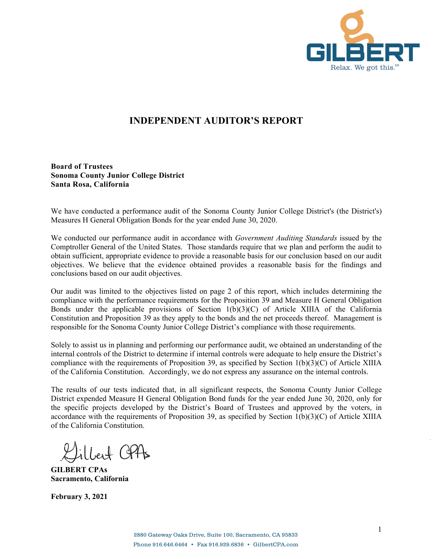

# **INDEPENDENT AUDITOR'S REPORT**

**Board of Trustees Sonoma County Junior College District Santa Rosa, California** 

We have conducted a performance audit of the Sonoma County Junior College District's (the District's) Measures H General Obligation Bonds for the year ended June 30, 2020.

We conducted our performance audit in accordance with *Government Auditing Standards* issued by the Comptroller General of the United States. Those standards require that we plan and perform the audit to obtain sufficient, appropriate evidence to provide a reasonable basis for our conclusion based on our audit objectives. We believe that the evidence obtained provides a reasonable basis for the findings and conclusions based on our audit objectives.

Our audit was limited to the objectives listed on page 2 of this report, which includes determining the compliance with the performance requirements for the Proposition 39 and Measure H General Obligation Bonds under the applicable provisions of Section 1(b)(3)(C) of Article XIIIA of the California Constitution and Proposition 39 as they apply to the bonds and the net proceeds thereof. Management is responsible for the Sonoma County Junior College District's compliance with those requirements.

Solely to assist us in planning and performing our performance audit, we obtained an understanding of the internal controls of the District to determine if internal controls were adequate to help ensure the District's compliance with the requirements of Proposition 39, as specified by Section  $1(b)(3)(C)$  of Article XIIIA of the California Constitution. Accordingly, we do not express any assurance on the internal controls.

The results of our tests indicated that, in all significant respects, the Sonoma County Junior College District expended Measure H General Obligation Bond funds for the year ended June 30, 2020, only for the specific projects developed by the District's Board of Trustees and approved by the voters, in accordance with the requirements of Proposition 39, as specified by Section  $1(b)(3)(C)$  of Article XIIIA of the California Constitution.

ilbert CP4s

**GILBERT CPAs Sacramento, California** 

**February 3, 2021**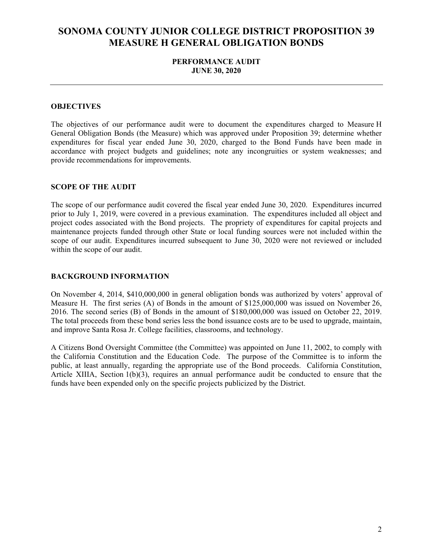## **PERFORMANCE AUDIT JUNE 30, 2020**

### **OBJECTIVES**

The objectives of our performance audit were to document the expenditures charged to Measure H General Obligation Bonds (the Measure) which was approved under Proposition 39; determine whether expenditures for fiscal year ended June 30, 2020, charged to the Bond Funds have been made in accordance with project budgets and guidelines; note any incongruities or system weaknesses; and provide recommendations for improvements.

#### **SCOPE OF THE AUDIT**

The scope of our performance audit covered the fiscal year ended June 30, 2020. Expenditures incurred prior to July 1, 2019, were covered in a previous examination. The expenditures included all object and project codes associated with the Bond projects. The propriety of expenditures for capital projects and maintenance projects funded through other State or local funding sources were not included within the scope of our audit. Expenditures incurred subsequent to June 30, 2020 were not reviewed or included within the scope of our audit.

#### **BACKGROUND INFORMATION**

On November 4, 2014, \$410,000,000 in general obligation bonds was authorized by voters' approval of Measure H. The first series (A) of Bonds in the amount of \$125,000,000 was issued on November 26, 2016. The second series (B) of Bonds in the amount of \$180,000,000 was issued on October 22, 2019. The total proceeds from these bond series less the bond issuance costs are to be used to upgrade, maintain, and improve Santa Rosa Jr. College facilities, classrooms, and technology.

A Citizens Bond Oversight Committee (the Committee) was appointed on June 11, 2002, to comply with the California Constitution and the Education Code. The purpose of the Committee is to inform the public, at least annually, regarding the appropriate use of the Bond proceeds. California Constitution, Article XIIIA, Section 1(b)(3), requires an annual performance audit be conducted to ensure that the funds have been expended only on the specific projects publicized by the District.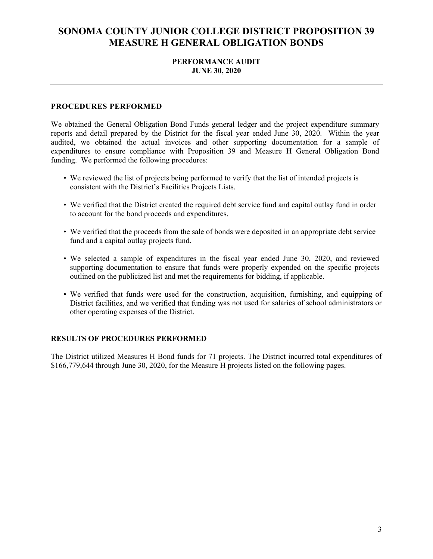### **PERFORMANCE AUDIT JUNE 30, 2020**

#### **PROCEDURES PERFORMED**

We obtained the General Obligation Bond Funds general ledger and the project expenditure summary reports and detail prepared by the District for the fiscal year ended June 30, 2020. Within the year audited, we obtained the actual invoices and other supporting documentation for a sample of expenditures to ensure compliance with Proposition 39 and Measure H General Obligation Bond funding. We performed the following procedures:

- We reviewed the list of projects being performed to verify that the list of intended projects is consistent with the District's Facilities Projects Lists.
- We verified that the District created the required debt service fund and capital outlay fund in order to account for the bond proceeds and expenditures.
- We verified that the proceeds from the sale of bonds were deposited in an appropriate debt service fund and a capital outlay projects fund.
- We selected a sample of expenditures in the fiscal year ended June 30, 2020, and reviewed supporting documentation to ensure that funds were properly expended on the specific projects outlined on the publicized list and met the requirements for bidding, if applicable.
- We verified that funds were used for the construction, acquisition, furnishing, and equipping of District facilities, and we verified that funding was not used for salaries of school administrators or other operating expenses of the District.

#### **RESULTS OF PROCEDURES PERFORMED**

The District utilized Measures H Bond funds for 71 projects. The District incurred total expenditures of \$166,779,644 through June 30, 2020, for the Measure H projects listed on the following pages.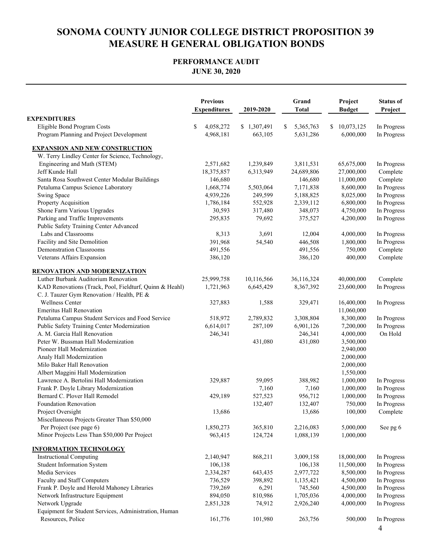## **PERFORMANCE AUDIT JUNE 30, 2020**

|                                                                                                       | <b>Previous</b><br><b>Expenditures</b> | 2019-2020   | Grand<br><b>Total</b> | Project<br><b>Budget</b> | <b>Status of</b><br>Project |
|-------------------------------------------------------------------------------------------------------|----------------------------------------|-------------|-----------------------|--------------------------|-----------------------------|
| <b>EXPENDITURES</b>                                                                                   |                                        |             |                       |                          |                             |
| Eligible Bond Program Costs                                                                           | \$<br>4,058,272                        | \$1,307,491 | 5,365,763<br>\$       | 10,073,125<br>\$         | In Progress                 |
| Program Planning and Project Development                                                              | 4,968,181                              | 663,105     | 5,631,286             | 6.000.000                | In Progress                 |
| <b>EXPANSION AND NEW CONSTRUCTION</b>                                                                 |                                        |             |                       |                          |                             |
| W. Terry Lindley Center for Science, Technology,                                                      |                                        |             |                       |                          |                             |
| Engineering and Math (STEM)                                                                           | 2,571,682                              | 1,239,849   | 3,811,531             | 65,675,000               | In Progress                 |
| Jeff Kunde Hall                                                                                       | 18,375,857                             | 6,313,949   | 24,689,806            | 27,000,000               | Complete                    |
| Santa Rosa Southwest Center Modular Buildings                                                         | 146,680                                |             | 146,680               | 11,000,000               | Complete                    |
| Petaluma Campus Science Laboratory                                                                    | 1,668,774                              | 5,503,064   | 7,171,838             | 8,600,000                | In Progress                 |
| Swing Space                                                                                           | 4,939,226                              | 249,599     | 5,188,825             | 8,025,000                | In Progress                 |
| Property Acquisition                                                                                  | 1,786,184                              | 552,928     | 2,339,112             | 6,800,000                | In Progress                 |
| Shone Farm Various Upgrades                                                                           | 30,593                                 | 317,480     | 348,073               | 4,750,000                | In Progress                 |
| Parking and Traffic Improvements                                                                      | 295,835                                | 79,692      | 375,527               | 4,200,000                | In Progress                 |
| Public Safety Training Center Advanced                                                                |                                        |             |                       |                          |                             |
| Labs and Classrooms                                                                                   | 8,313                                  | 3,691       | 12,004                | 4,000,000                | In Progress                 |
| Facility and Site Demolition                                                                          | 391,968                                | 54,540      | 446.508               | 1.800.000                | In Progress                 |
| <b>Demonstration Classrooms</b>                                                                       | 491,556                                |             | 491,556               | 750,000                  | Complete                    |
| Veterans Affairs Expansion                                                                            | 386,120                                |             | 386,120               | 400,000                  | Complete                    |
| <b>RENOVATION AND MODERNIZATION</b>                                                                   |                                        |             |                       |                          |                             |
| Luther Burbank Auditorium Renovation                                                                  | 25,999,758                             | 10,116,566  | 36,116,324            | 40,000,000               | Complete                    |
| KAD Renovations (Track, Pool, Fieldturf, Quinn & Heahl)<br>C. J. Tauzer Gym Renovation / Health, PE & | 1,721,963                              | 6,645,429   | 8,367,392             | 23,600,000               | In Progress                 |
| <b>Wellness Center</b>                                                                                | 327,883                                | 1,588       | 329,471               | 16,400,000               | In Progress                 |
| <b>Emeritus Hall Renovation</b>                                                                       |                                        |             |                       | 11,060,000               |                             |
| Petaluma Campus Student Services and Food Service                                                     | 518,972                                | 2,789,832   | 3,308,804             | 8,300,000                | In Progress                 |
| Public Safety Training Center Modernization                                                           | 6,614,017                              | 287,109     | 6,901,126             | 7,200,000                | In Progress                 |
| A. M. Garcia Hall Renovation                                                                          | 246,341                                |             | 246,341               | 4,000,000                | On Hold                     |
| Peter W. Bussman Hall Modernization                                                                   |                                        | 431,080     | 431,080               | 3,500,000                |                             |
| Pioneer Hall Modernization                                                                            |                                        |             |                       | 2,940,000                |                             |
| Analy Hall Modernization                                                                              |                                        |             |                       | 2,000,000                |                             |
| Milo Baker Hall Renovation                                                                            |                                        |             |                       | 2,000,000                |                             |
| Albert Maggini Hall Modernization                                                                     |                                        |             |                       | 1,550,000                |                             |
| Lawrence A. Bertolini Hall Modernization                                                              | 329,887                                | 59,095      | 388,982               | 1,000,000                | In Progress                 |
| Frank P. Doyle Library Modernization                                                                  |                                        | 7,160       | 7,160                 | 1,000,000                | In Progress                 |
| Bernard C. Plover Hall Remodel                                                                        | 429,189                                | 527,523     | 956,712               | 1,000,000                | In Progress                 |
| <b>Foundation Renovation</b>                                                                          |                                        | 132,407     | 132,407               | 750,000                  | In Progress                 |
| Project Oversight                                                                                     | 13,686                                 |             | 13,686                | 100,000                  | Complete                    |
| Miscellaneous Projects Greater Than \$50,000                                                          |                                        |             |                       |                          |                             |
| Per Project (see page 6)                                                                              | 1,850,273                              | 365,810     | 2,216,083             | 5,000,000                | See pg 6                    |
| Minor Projects Less Than \$50,000 Per Project                                                         | 963,415                                | 124,724     | 1,088,139             | 1,000,000                |                             |
| <b>INFORMATION TECHNOLOGY</b>                                                                         |                                        |             |                       |                          |                             |
| <b>Instructional Computing</b>                                                                        | 2,140,947                              | 868,211     | 3,009,158             | 18,000,000               | In Progress                 |
| <b>Student Information System</b>                                                                     | 106,138                                |             | 106,138               | 11,500,000               | In Progress                 |
| Media Services                                                                                        | 2,334,287                              | 643,435     | 2,977,722             | 8,500,000                | In Progress                 |
| Faculty and Staff Computers                                                                           | 736,529                                | 398,892     | 1,135,421             | 4,500,000                | In Progress                 |
| Frank P. Doyle and Herold Mahoney Libraries                                                           | 739,269                                | 6,291       | 745,560               | 4,500,000                | In Progress                 |
| Network Infrastructure Equipment                                                                      | 894,050                                | 810,986     | 1,705,036             | 4,000,000                | In Progress                 |
| Network Upgrade                                                                                       | 2,851,328                              | 74,912      | 2,926,240             | 4,000,000                | In Progress                 |
| Equipment for Student Services, Administration, Human                                                 |                                        |             |                       |                          |                             |
| Resources, Police                                                                                     | 161,776                                | 101,980     | 263,756               | 500,000                  | In Progress<br>4            |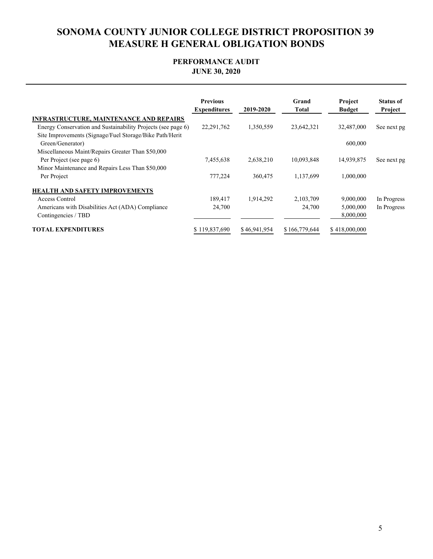## **PERFORMANCE AUDIT JUNE 30, 2020**

|                                                                             | <b>Previous</b><br><b>Expenditures</b> | 2019-2020    | Grand<br>Total | <b>Project</b><br><b>Budget</b> | <b>Status of</b><br>Project |
|-----------------------------------------------------------------------------|----------------------------------------|--------------|----------------|---------------------------------|-----------------------------|
| <b>INFRASTRUCTURE, MAINTENANCE AND REPAIRS</b>                              |                                        |              |                |                                 |                             |
| Energy Conservation and Sustainability Projects (see page 6)                | 22,291,762                             | 1,350,559    | 23,642,321     | 32,487,000                      | See next pg                 |
| Site Improvements (Signage/Fuel Storage/Bike Path/Herit<br>Green/Generator) |                                        |              |                | 600,000                         |                             |
| Miscellaneous Maint/Repairs Greater Than \$50,000                           |                                        |              |                |                                 |                             |
| Per Project (see page 6)                                                    | 7,455,638                              | 2,638,210    | 10,093,848     | 14,939,875                      | See next pg                 |
| Minor Maintenance and Repairs Less Than \$50,000                            |                                        |              |                |                                 |                             |
| Per Project                                                                 | 777,224                                | 360,475      | 1,137,699      | 1,000,000                       |                             |
| <b>HEALTH AND SAFETY IMPROVEMENTS</b>                                       |                                        |              |                |                                 |                             |
| Access Control                                                              | 189,417                                | 1,914,292    | 2,103,709      | 9,000,000                       | In Progress                 |
| Americans with Disabilities Act (ADA) Compliance                            | 24,700                                 |              | 24,700         | 5,000,000                       | In Progress                 |
| Contingencies / TBD                                                         |                                        |              |                | 8,000,000                       |                             |
| <b>TOTAL EXPENDITURES</b>                                                   | \$119,837,690                          | \$46,941,954 | \$166,779,644  | \$418,000,000                   |                             |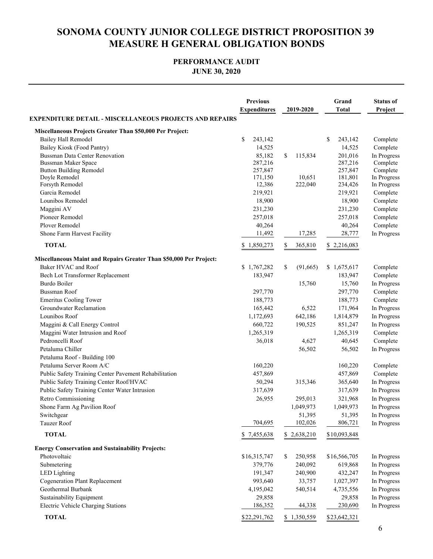## **PERFORMANCE AUDIT JUNE 30, 2020**

|                                                                                                                                                            | <b>Previous</b><br><b>Expenditures</b>                       | 2019-2020                          | Grand<br><b>Total</b>                                         | <b>Status of</b><br>Project                                                |
|------------------------------------------------------------------------------------------------------------------------------------------------------------|--------------------------------------------------------------|------------------------------------|---------------------------------------------------------------|----------------------------------------------------------------------------|
| <b>EXPENDITURE DETAIL - MISCELLANEOUS PROJECTS AND REPAIRS</b>                                                                                             |                                                              |                                    |                                                               |                                                                            |
| Miscellaneous Projects Greater Than \$50,000 Per Project:                                                                                                  |                                                              |                                    |                                                               |                                                                            |
| <b>Bailey Hall Remodel</b><br>Bailey Kiosk (Food Pantry)<br>Bussman Data Center Renovation<br><b>Bussman Maker Space</b><br><b>Button Building Remodel</b> | \$<br>243,142<br>14,525<br>85,182<br>287,216<br>257,847      | \$<br>115,834                      | \$<br>243,142<br>14,525<br>201,016<br>287,216<br>257,847      | Complete<br>Complete<br>In Progress<br>Complete<br>Complete                |
| Doyle Remodel<br>Forsyth Remodel<br>Garcia Remodel<br>Lounibos Remodel<br>Maggini AV<br>Pioneer Remodel                                                    | 171,150<br>12,386<br>219,921<br>18,900<br>231,230<br>257,018 | 10,651<br>222,040                  | 181,801<br>234,426<br>219,921<br>18,900<br>231,230<br>257,018 | In Progress<br>In Progress<br>Complete<br>Complete<br>Complete<br>Complete |
| Plover Remodel                                                                                                                                             | 40,264                                                       |                                    | 40,264                                                        | Complete                                                                   |
| Shone Farm Harvest Facility<br><b>TOTAL</b>                                                                                                                | 11,492<br>\$1,850,273                                        | 17,285<br>\$<br>365,810            | 28,777<br>\$2,216,083                                         | In Progress                                                                |
|                                                                                                                                                            |                                                              |                                    |                                                               |                                                                            |
| <b>Miscellaneous Maint and Repairs Greater Than \$50,000 Per Project:</b><br>Baker HVAC and Roof<br>Bech Lot Transformer Replacement                       | \$1,767,282<br>183,947                                       | \$<br>(91,665)                     | \$1,675,617<br>183,947                                        | Complete<br>Complete                                                       |
| Burdo Boiler                                                                                                                                               |                                                              | 15,760                             | 15,760                                                        | In Progress                                                                |
| <b>Bussman Roof</b><br><b>Emeritus Cooling Tower</b>                                                                                                       | 297,770<br>188,773                                           |                                    | 297,770<br>188,773                                            | Complete<br>Complete                                                       |
| Groundwater Reclamation                                                                                                                                    | 165,442                                                      | 6,522                              | 171,964                                                       | In Progress                                                                |
| Lounibos Roof<br>Maggini & Call Energy Control                                                                                                             | 1,172,693<br>660,722                                         | 642,186<br>190,525                 | 1,814,879<br>851,247                                          | In Progress<br>In Progress                                                 |
| Maggini Water Intrusion and Roof<br>Pedroncelli Roof<br>Petaluma Chiller                                                                                   | 1,265,319<br>36,018                                          | 4,627<br>56,502                    | 1,265,319<br>40,645<br>56,502                                 | Complete<br>Complete<br>In Progress                                        |
| Petaluma Roof - Building 100                                                                                                                               |                                                              |                                    |                                                               |                                                                            |
| Petaluma Server Room A/C<br>Public Safety Training Center Pavement Rehabilitation                                                                          | 160,220<br>457,869                                           |                                    | 160,220<br>457,869                                            | Complete<br>Complete                                                       |
| Public Safety Training Center Roof/HVAC<br>Public Safety Training Center Water Intrusion                                                                   | 50,294<br>317,639                                            | 315,346                            | 365,640<br>317,639                                            | In Progress<br>In Progress                                                 |
| Retro Commissioning<br>Shone Farm Ag Pavilion Roof<br>Switchgear                                                                                           | 26,955                                                       | 295,013<br>1,049,973<br>51,395     | 321,968<br>1,049,973<br>51,395                                | In Progress<br>In Progress<br>In Progress                                  |
| Tauzer Roof                                                                                                                                                | 704,695                                                      | 102,026                            | 806,721                                                       | In Progress                                                                |
| <b>TOTAL</b>                                                                                                                                               | \$7,455,638                                                  | \$2,638,210                        | \$10,093,848                                                  |                                                                            |
| <b>Energy Conservation and Sustainability Projects:</b>                                                                                                    |                                                              |                                    |                                                               |                                                                            |
| Photovoltaic<br>Submetering<br><b>LED</b> Lighting                                                                                                         | \$16,315,747<br>379,776<br>191,347                           | 250,958<br>S<br>240,092<br>240,900 | \$16,566,705<br>619,868<br>432,247                            | In Progress<br>In Progress<br>In Progress                                  |
| <b>Cogeneration Plant Replacement</b><br>Geothermal Burbank                                                                                                | 993,640<br>4,195,042                                         | 33,757<br>540,514                  | 1,027,397<br>4,735,556                                        | In Progress<br>In Progress                                                 |
| Sustainability Equipment<br>Electric Vehicle Charging Stations                                                                                             | 29,858<br>186,352                                            | 44,338                             | 29,858<br>230,690                                             | In Progress<br>In Progress                                                 |
| <b>TOTAL</b>                                                                                                                                               | \$22,291,762                                                 | \$1,350,559                        | \$23,642,321                                                  |                                                                            |